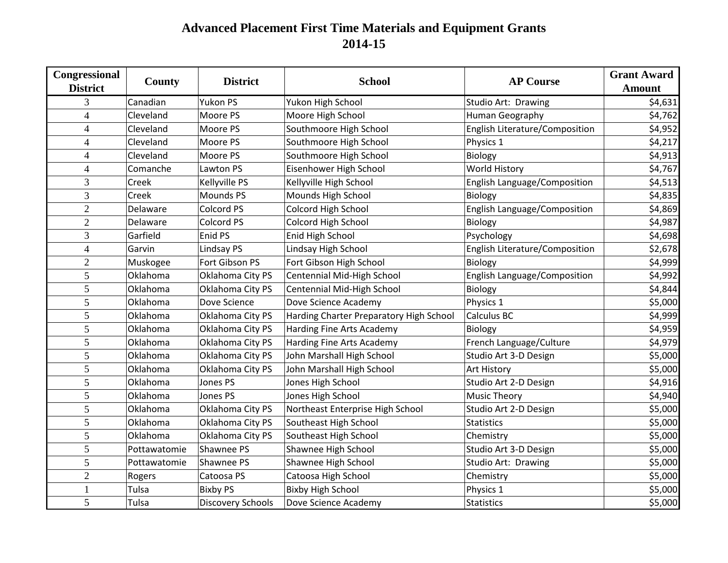## **Advanced Placement First Time Materials and Equipment Grants 2014-15**

| Congressional<br><b>District</b> | County       | <b>District</b>          | <b>School</b>                           | <b>AP Course</b>               | <b>Grant Award</b> |
|----------------------------------|--------------|--------------------------|-----------------------------------------|--------------------------------|--------------------|
|                                  |              |                          |                                         |                                | <b>Amount</b>      |
| 3                                | Canadian     | Yukon PS                 | Yukon High School                       | Studio Art: Drawing            | \$4,631            |
| $\overline{4}$                   | Cleveland    | Moore PS                 | Moore High School                       | Human Geography                | \$4,762            |
| $\overline{4}$                   | Cleveland    | Moore PS                 | Southmoore High School                  | English Literature/Composition | \$4,952            |
| 4                                | Cleveland    | Moore PS                 | Southmoore High School                  | Physics 1                      | \$4,217            |
| $\overline{4}$                   | Cleveland    | Moore PS                 | Southmoore High School                  | Biology                        | \$4,913            |
| $\overline{4}$                   | Comanche     | Lawton PS                | Eisenhower High School                  | World History                  | \$4,767            |
| 3                                | Creek        | Kellyville PS            | Kellyville High School                  | English Language/Composition   | \$4,513            |
| 3                                | Creek        | <b>Mounds PS</b>         | Mounds High School                      | <b>Biology</b>                 | \$4,835            |
| $\overline{2}$                   | Delaware     | Colcord PS               | Colcord High School                     | English Language/Composition   | \$4,869            |
| $\overline{2}$                   | Delaware     | Colcord PS               | Colcord High School                     | Biology                        | \$4,987            |
| 3                                | Garfield     | Enid PS                  | Enid High School                        | Psychology                     | \$4,698            |
| $\overline{4}$                   | Garvin       | Lindsay PS               | Lindsay High School                     | English Literature/Composition | \$2,678            |
| $\overline{2}$                   | Muskogee     | Fort Gibson PS           | Fort Gibson High School                 | Biology                        | \$4,999            |
| 5                                | Oklahoma     | Oklahoma City PS         | Centennial Mid-High School              | English Language/Composition   | \$4,992            |
| 5                                | Oklahoma     | Oklahoma City PS         | Centennial Mid-High School              | Biology                        | \$4,844            |
| 5                                | Oklahoma     | Dove Science             | Dove Science Academy                    | Physics 1                      | \$5,000            |
| 5                                | Oklahoma     | Oklahoma City PS         | Harding Charter Preparatory High School | <b>Calculus BC</b>             | \$4,999            |
| $\mathfrak{S}$                   | Oklahoma     | Oklahoma City PS         | Harding Fine Arts Academy               | <b>Biology</b>                 | \$4,959            |
| 5                                | Oklahoma     | Oklahoma City PS         | Harding Fine Arts Academy               | French Language/Culture        | \$4,979            |
| 5                                | Oklahoma     | Oklahoma City PS         | John Marshall High School               | Studio Art 3-D Design          | \$5,000            |
| 5                                | Oklahoma     | Oklahoma City PS         | John Marshall High School               | <b>Art History</b>             | \$5,000            |
| 5                                | Oklahoma     | Jones PS                 | Jones High School                       | Studio Art 2-D Design          | \$4,916            |
| 5                                | Oklahoma     | Jones PS                 | Jones High School                       | <b>Music Theory</b>            | \$4,940            |
| 5                                | Oklahoma     | Oklahoma City PS         | Northeast Enterprise High School        | Studio Art 2-D Design          | \$5,000            |
| 5                                | Oklahoma     | Oklahoma City PS         | Southeast High School                   | Statistics                     | \$5,000            |
| $\mathfrak{S}$                   | Oklahoma     | Oklahoma City PS         | Southeast High School                   | Chemistry                      | \$5,000            |
| 5                                | Pottawatomie | Shawnee PS               | Shawnee High School                     | Studio Art 3-D Design          | \$5,000            |
| 5                                | Pottawatomie | Shawnee PS               | Shawnee High School                     | Studio Art: Drawing            | \$5,000            |
| $\overline{2}$                   | Rogers       | Catoosa PS               | Catoosa High School                     | Chemistry                      | \$5,000            |
| 1                                | Tulsa        | <b>Bixby PS</b>          | <b>Bixby High School</b>                | Physics 1                      | \$5,000            |
| 5                                | Tulsa        | <b>Discovery Schools</b> | Dove Science Academy                    | Statistics                     | \$5,000            |